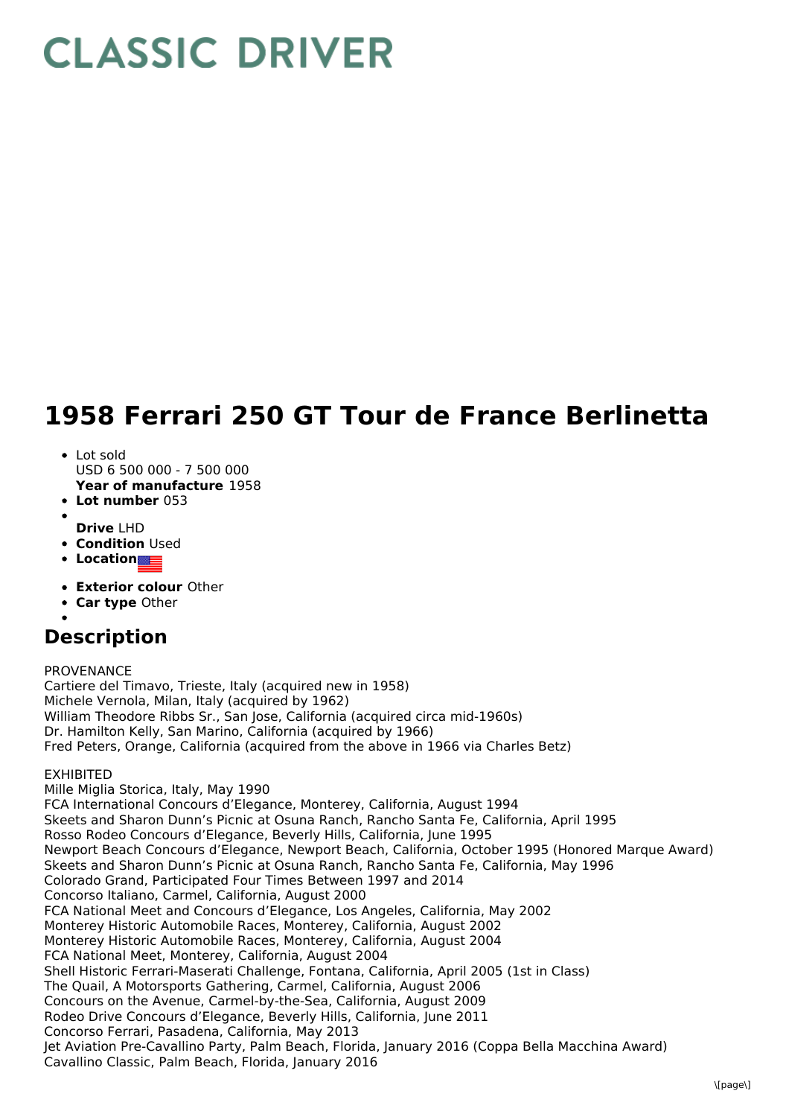# **CLASSIC DRIVER**

## **1958 Ferrari 250 GT Tour de France Berlinetta**

#### • Lot sold USD 6 500 000 - 7 500 000

**Year of manufacture** 1958

- **Lot number** 053
- 
- **Drive** LHD
- **Condition Used**
- **Location**
- **Exterior colour** Other
- **Car type** Other
- 

## **Description**

PROVENANCE

Cartiere del Timavo, Trieste, Italy (acquired new in 1958) Michele Vernola, Milan, Italy (acquired by 1962) William Theodore Ribbs Sr., San Jose, California (acquired circa mid-1960s) Dr. Hamilton Kelly, San Marino, California (acquired by 1966) Fred Peters, Orange, California (acquired from the above in 1966 via Charles Betz)

## EXHIBITED

Mille Miglia Storica, Italy, May 1990 FCA International Concours d'Elegance, Monterey, California, August 1994 Skeets and Sharon Dunn's Picnic at Osuna Ranch, Rancho Santa Fe, California, April 1995 Rosso Rodeo Concours d'Elegance, Beverly Hills, California, June 1995 Newport Beach Concours d'Elegance, Newport Beach, California, October 1995 (Honored Marque Award) Skeets and Sharon Dunn's Picnic at Osuna Ranch, Rancho Santa Fe, California, May 1996 Colorado Grand, Participated Four Times Between 1997 and 2014 Concorso Italiano, Carmel, California, August 2000 FCA National Meet and Concours d'Elegance, Los Angeles, California, May 2002 Monterey Historic Automobile Races, Monterey, California, August 2002 Monterey Historic Automobile Races, Monterey, California, August 2004 FCA National Meet, Monterey, California, August 2004 Shell Historic Ferrari-Maserati Challenge, Fontana, California, April 2005 (1st in Class) The Quail, A Motorsports Gathering, Carmel, California, August 2006 Concours on the Avenue, Carmel-by-the-Sea, California, August 2009 Rodeo Drive Concours d'Elegance, Beverly Hills, California, June 2011 Concorso Ferrari, Pasadena, California, May 2013 Jet Aviation Pre-Cavallino Party, Palm Beach, Florida, January 2016 (Coppa Bella Macchina Award) Cavallino Classic, Palm Beach, Florida, January 2016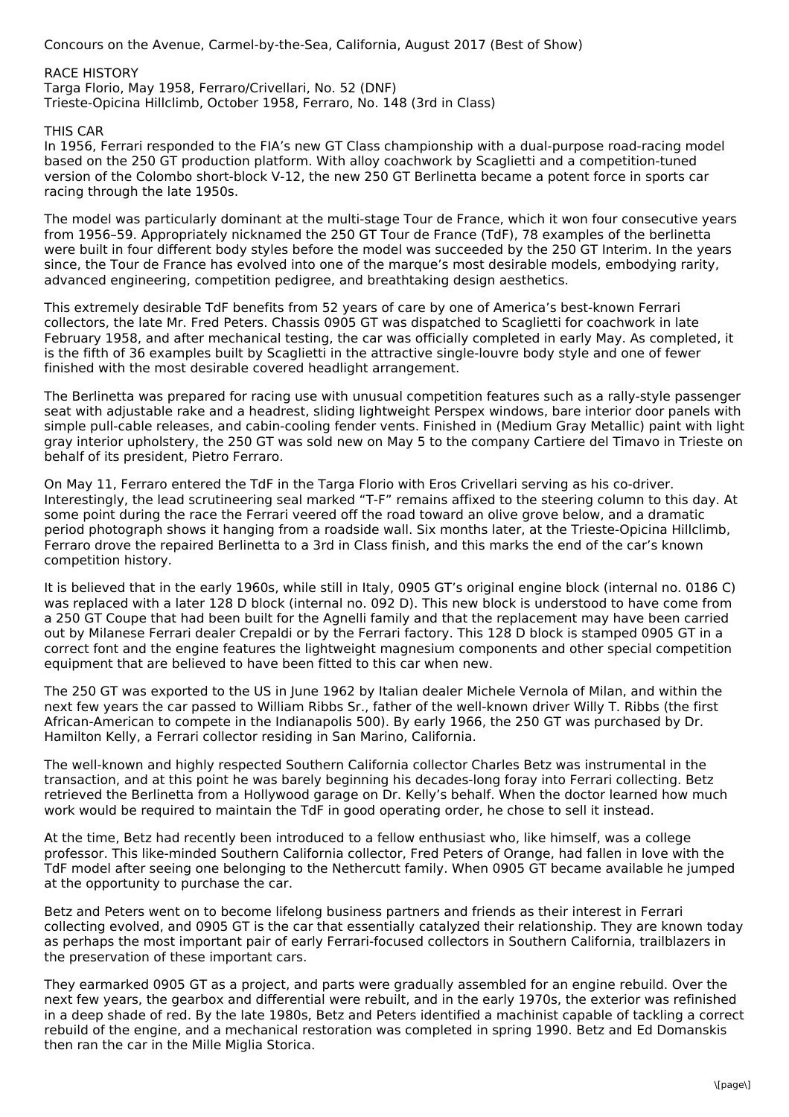Concours on the Avenue, Carmel-by-the-Sea, California, August 2017 (Best of Show)

RACE HISTORY Targa Florio, May 1958, Ferraro/Crivellari, No. 52 (DNF) Trieste-Opicina Hillclimb, October 1958, Ferraro, No. 148 (3rd in Class)

### THIS CAR

In 1956, Ferrari responded to the FIA's new GT Class championship with a dual-purpose road-racing model based on the 250 GT production platform. With alloy coachwork by Scaglietti and a competition-tuned version of the Colombo short-block V-12, the new 250 GT Berlinetta became a potent force in sports car racing through the late 1950s.

The model was particularly dominant at the multi-stage Tour de France, which it won four consecutive years from 1956–59. Appropriately nicknamed the 250 GT Tour de France (TdF), 78 examples of the berlinetta were built in four different body styles before the model was succeeded by the 250 GT Interim. In the years since, the Tour de France has evolved into one of the marque's most desirable models, embodying rarity, advanced engineering, competition pedigree, and breathtaking design aesthetics.

This extremely desirable TdF benefits from 52 years of care by one of America's best-known Ferrari collectors, the late Mr. Fred Peters. Chassis 0905 GT was dispatched to Scaglietti for coachwork in late February 1958, and after mechanical testing, the car was officially completed in early May. As completed, it is the fifth of 36 examples built by Scaglietti in the attractive single-louvre body style and one of fewer finished with the most desirable covered headlight arrangement.

The Berlinetta was prepared for racing use with unusual competition features such as a rally-style passenger seat with adjustable rake and a headrest, sliding lightweight Perspex windows, bare interior door panels with simple pull-cable releases, and cabin-cooling fender vents. Finished in (Medium Gray Metallic) paint with light gray interior upholstery, the 250 GT was sold new on May 5 to the company Cartiere del Timavo in Trieste on behalf of its president, Pietro Ferraro.

On May 11, Ferraro entered the TdF in the Targa Florio with Eros Crivellari serving as his co-driver. Interestingly, the lead scrutineering seal marked "T-F" remains affixed to the steering column to this day. At some point during the race the Ferrari veered off the road toward an olive grove below, and a dramatic period photograph shows it hanging from a roadside wall. Six months later, at the Trieste-Opicina Hillclimb, Ferraro drove the repaired Berlinetta to a 3rd in Class finish, and this marks the end of the car's known competition history.

It is believed that in the early 1960s, while still in Italy, 0905 GT's original engine block (internal no. 0186 C) was replaced with a later 128 D block (internal no. 092 D). This new block is understood to have come from a 250 GT Coupe that had been built for the Agnelli family and that the replacement may have been carried out by Milanese Ferrari dealer Crepaldi or by the Ferrari factory. This 128 D block is stamped 0905 GT in a correct font and the engine features the lightweight magnesium components and other special competition equipment that are believed to have been fitted to this car when new.

The 250 GT was exported to the US in June 1962 by Italian dealer Michele Vernola of Milan, and within the next few years the car passed to William Ribbs Sr., father of the well-known driver Willy T. Ribbs (the first African-American to compete in the Indianapolis 500). By early 1966, the 250 GT was purchased by Dr. Hamilton Kelly, a Ferrari collector residing in San Marino, California.

The well-known and highly respected Southern California collector Charles Betz was instrumental in the transaction, and at this point he was barely beginning his decades-long foray into Ferrari collecting. Betz retrieved the Berlinetta from a Hollywood garage on Dr. Kelly's behalf. When the doctor learned how much work would be required to maintain the TdF in good operating order, he chose to sell it instead.

At the time, Betz had recently been introduced to a fellow enthusiast who, like himself, was a college professor. This like-minded Southern California collector, Fred Peters of Orange, had fallen in love with the TdF model after seeing one belonging to the Nethercutt family. When 0905 GT became available he jumped at the opportunity to purchase the car.

Betz and Peters went on to become lifelong business partners and friends as their interest in Ferrari collecting evolved, and 0905 GT is the car that essentially catalyzed their relationship. They are known today as perhaps the most important pair of early Ferrari-focused collectors in Southern California, trailblazers in the preservation of these important cars.

They earmarked 0905 GT as a project, and parts were gradually assembled for an engine rebuild. Over the next few years, the gearbox and differential were rebuilt, and in the early 1970s, the exterior was refinished in a deep shade of red. By the late 1980s, Betz and Peters identified a machinist capable of tackling a correct rebuild of the engine, and a mechanical restoration was completed in spring 1990. Betz and Ed Domanskis then ran the car in the Mille Miglia Storica.